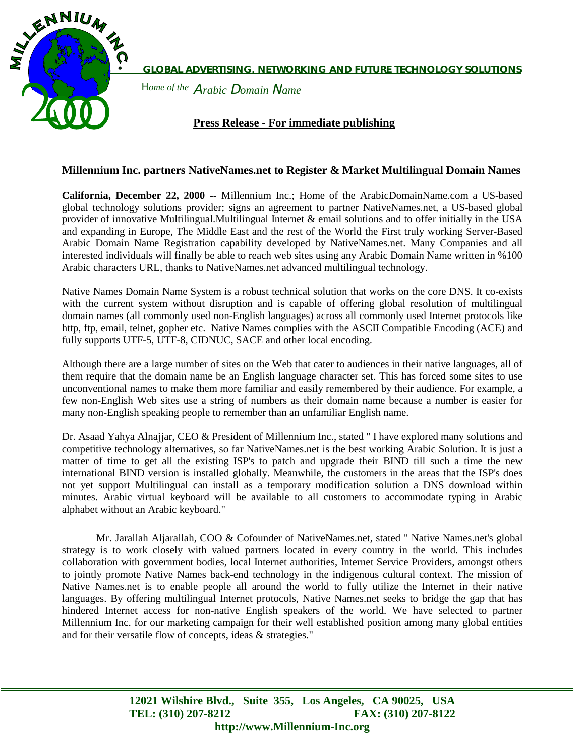

A*rabic* D*omain* N*ame* H*ome of the*   **GLOBAL ADVERTISING, NETWORKING AND FUTURE TECHNOLOGY SOLUTIONS** 

# **Press Release - For immediate publishing**

### **Millennium Inc. partners NativeNames.net to Register & Market Multilingual Domain Names**

**California, December 22, 2000 --** Millennium Inc.; Home of the ArabicDomainName.com a US-based global technology solutions provider; signs an agreement to partner NativeNames.net, a US-based global provider of innovative Multilingual.Multilingual Internet & email solutions and to offer initially in the USA and expanding in Europe, The Middle East and the rest of the World the First truly working Server-Based Arabic Domain Name Registration capability developed by NativeNames.net. Many Companies and all interested individuals will finally be able to reach web sites using any Arabic Domain Name written in %100 Arabic characters URL, thanks to NativeNames.net advanced multilingual technology.

Native Names Domain Name System is a robust technical solution that works on the core DNS. It co-exists with the current system without disruption and is capable of offering global resolution of multilingual domain names (all commonly used non-English languages) across all commonly used Internet protocols like http, ftp, email, telnet, gopher etc. Native Names complies with the ASCII Compatible Encoding (ACE) and fully supports UTF-5, UTF-8, CIDNUC, SACE and other local encoding.

Although there are a large number of sites on the Web that cater to audiences in their native languages, all of them require that the domain name be an English language character set. This has forced some sites to use unconventional names to make them more familiar and easily remembered by their audience. For example, a few non-English Web sites use a string of numbers as their domain name because a number is easier for many non-English speaking people to remember than an unfamiliar English name.

Dr. Asaad Yahya Alnajjar, CEO & President of Millennium Inc., stated " I have explored many solutions and competitive technology alternatives, so far NativeNames.net is the best working Arabic Solution. It is just a matter of time to get all the existing ISP's to patch and upgrade their BIND till such a time the new international BIND version is installed globally. Meanwhile, the customers in the areas that the ISP's does not yet support Multilingual can install as a temporary modification solution a DNS download within minutes. Arabic virtual keyboard will be available to all customers to accommodate typing in Arabic alphabet without an Arabic keyboard."

Mr. Jarallah Aljarallah, COO & Cofounder of NativeNames.net, stated " Native Names.net's global strategy is to work closely with valued partners located in every country in the world. This includes collaboration with government bodies, local Internet authorities, Internet Service Providers, amongst others to jointly promote Native Names back-end technology in the indigenous cultural context. The mission of Native Names.net is to enable people all around the world to fully utilize the Internet in their native languages. By offering multilingual Internet protocols, Native Names.net seeks to bridge the gap that has hindered Internet access for non-native English speakers of the world. We have selected to partner Millennium Inc. for our marketing campaign for their well established position among many global entities and for their versatile flow of concepts, ideas & strategies."